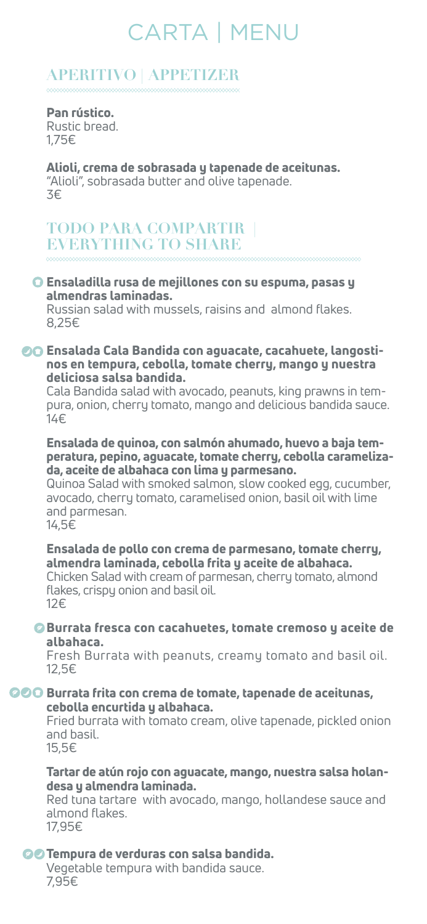#### Ensaladilla rusa de mejillones con su espuma, pasas y almendras laminadas.

Russian salad with mussels, raisins and almond flakes. 8,25€

Ensalada Cala Bandida con aguacate, cacahuete, langostinos en tempura, cebolla, tomate cherry, mango y nuestra deliciosa salsa bandida.

Cala Bandida salad with avocado, peanuts, king prawns in tempura, onion, cherry tomato, mango and delicious bandida sauce. 14€

Ensalada de quinoa, con salmón ahumado, huevo a baja temperatura, pepino, aguacate, tomate cherry, cebolla caramelizada, aceite de albahaca con lima y parmesano.

Quinoa Salad with smoked salmon, slow cooked egg, cucumber, avocado, cherry tomato, caramelised onion, basil oil with lime and parmesan.

14,5€

#### **OO Tempura de verduras con salsa bandida.** Vegetable tempura with bandida sauce. 7,95€

Ensalada de pollo con crema de parmesano, tomate cherry, almendra laminada, cebolla frita y aceite de albahaca. Chicken Salad with cream of parmesan, cherry tomato, almond flakes, crispy onion and basil oil.

12€

#### Burrata fresca con cacahuetes, tomate cremoso y aceite de albahaca.

Fresh Burrata with peanuts, creamy tomato and basil oil. 12,5€

#### Burrata frita con crema de tomate, tapenade de aceitunas, cebolla encurtida y albahaca.

Fried burrata with tomato cream, olive tapenade, pickled onion and basil. 15,5€

#### Tartar de atún rojo con aguacate, mango, nuestra salsa holandesa y almendra laminada.

Red tuna tartare with avocado, mango, hollandese sauce and almond flakes.

17,95€

Pan rústico. Rustic bread.

1,75€

### Alioli, crema de sobrasada y tapenade de aceitunas.

"Alioli", sobrasada butter and olive tapenade. 3€

### **TODO PARA COMPARTIR | EVERYTHING TO SHARE**

## **APERITIVO | APPETIZER**

# CARTA | MENU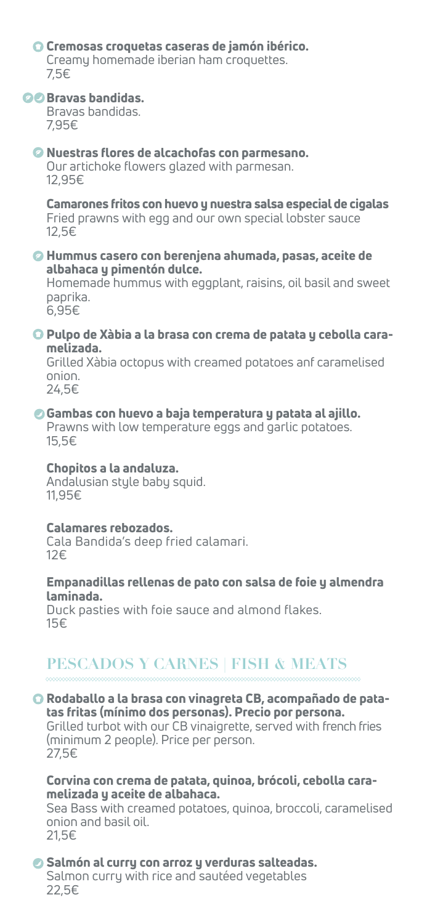#### Cremosas croquetas caseras de jamón ibérico. Creamy homemade iberian ham croquettes. 7,5€

#### **DO Bravas bandidas.**

Bravas bandidas. 7,95€

Nuestras flores de alcachofas con parmesano. Our artichoke flowers glazed with parmesan. 12,95€

Camarones fritos con huevo y nuestra salsa especial de cigalas Fried prawns with egg and our own special lobster sauce 12,5€

Hummus casero con berenjena ahumada, pasas, aceite de albahaca y pimentón dulce.

Homemade hummus with eggplant, raisins, oil basil and sweet paprika. 6,95€

#### Pulpo de Xàbia a la brasa con crema de patata y cebolla caramelizada.

Grilled Xàbia octopus with creamed potatoes anf caramelised onion. 24,5€

#### Gambas con huevo a baja temperatura y patata al ajillo.

Prawns with low temperature eggs and garlic potatoes. 15,5€

#### Chopitos a la andaluza.

Andalusian style baby squid. 11,95€

#### Calamares rebozados.

Cala Bandida's deep fried calamari. 12€

#### Empanadillas rellenas de pato con salsa de foie y almendra laminada.

Duck pasties with foie sauce and almond flakes. 15€

Rodaballo a la brasa con vinagreta CB, acompañado de patatas fritas (mínimo dos personas). Precio por persona. Grilled turbot with our CB vinaigrette, served with french fries (minimum 2 people). Price per person. 27,5€

#### Corvina con crema de patata, quinoa, brócoli, cebolla caramelizada y aceite de albahaca.

Sea Bass with creamed potatoes, quinoa, broccoli, caramelised onion and basil oil. 21,5€

Salmón al curry con arroz y verduras salteadas. Salmon curry with rice and sautéed vegetables 22,5€

## **PESCADOS Y CARNES | FISH & MEATS**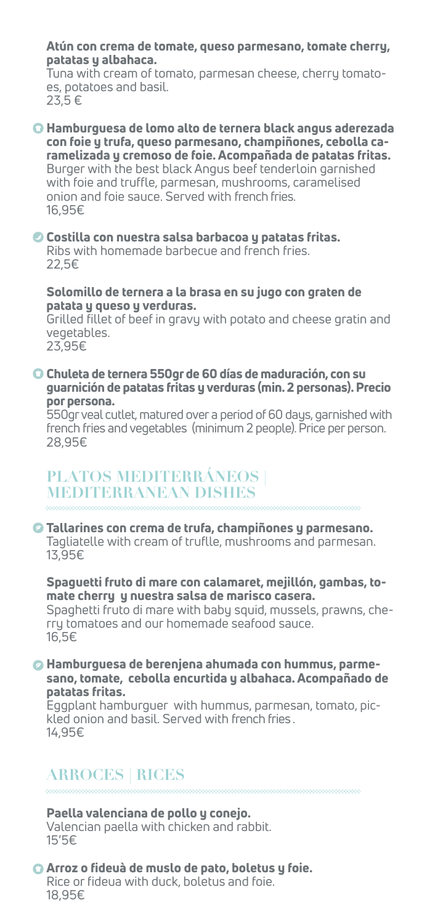#### Atún con crema de tomate, queso parmesano, tomate cherry, patatas y albahaca.

Tuna with cream of tomato, parmesan cheese, cherry tomatoes, potatoes and basil. 23,5 €

Hamburguesa de lomo alto de ternera black angus aderezada con foie y trufa, queso parmesano, champiñones, cebolla caramelizada y cremoso de foie. Acompañada de patatas fritas. Burger with the best black Angus beef tenderloin garnished with foie and truffle, parmesan, mushrooms, caramelised onion and foie sauce. Served with french fries. 16,95€

Costilla con nuestra salsa barbacoa y patatas fritas. Ribs with homemade barbecue and french fries. 22,5€

#### Solomillo de ternera a la brasa en su jugo con graten de patata y queso y verduras.

Grilled fillet of beef in gravy with potato and cheese gratin and vegetables.

23,95€

Chuleta de ternera 550gr de 60 días de maduración, con su guarnición de patatas fritas y verduras (min. 2 personas). Precio por persona.

550gr veal cutlet, matured over a period of 60 days, garnished with french fries and vegetables (minimum 2 people). Price per person. 28,95€

Tallarines con crema de trufa, champiñones y parmesano. Tagliatelle with cream of truflle, mushrooms and parmesan. 13,95€

Spaguetti fruto di mare con calamaret, mejillón, gambas, tomate cherry y nuestra salsa de marisco casera. Spaghetti fruto di mare with baby squid, mussels, prawns, cherry tomatoes and our homemade seafood sauce. 16,5€

Hamburguesa de berenjena ahumada con hummus, parmesano, tomate, cebolla encurtida y albahaca. Acompañado de

## patatas fritas.

Eggplant hamburguer with hummus, parmesan, tomato, pickled onion and basil. Served with french fries . 14,95€

#### Paella valenciana de pollo y conejo. Valencian paella with chicken and rabbit. 15'5€

Arroz o fideuà de muslo de pato, boletus y foie. Rice or fideua with duck, boletus and foie. 18,95€

## **PLATOS MEDITERRÁNEOS | MEDITERRANEAN DISHES**

### **ARROCES | RICES**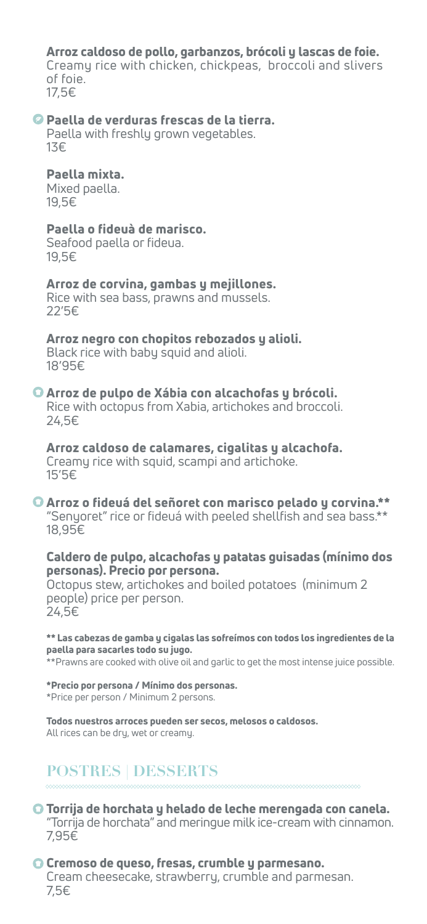#### Arroz caldoso de pollo, garbanzos, brócoli y lascas de foie.

Creamy rice with chicken, chickpeas, broccoli and slivers of foie. 17,5€

#### Paella de verduras frescas de la tierra.

Paella with freshly grown vegetables. 13€

#### Paella mixta.

Mixed paella. 19,5€

#### Paella o fideuà de marisco.

Seafood paella or fideua. 19,5€

#### Arroz de corvina, gambas y mejillones.

Rice with sea bass, prawns and mussels. 22'5€

#### Arroz negro con chopitos rebozados y alioli.

Black rice with baby squid and alioli. 18'95€

#### Arroz de pulpo de Xábia con alcachofas y brócoli. Rice with octopus from Xabia, artichokes and broccoli. 24,5€

Arroz caldoso de calamares, cigalitas y alcachofa. Creamy rice with squid, scampi and artichoke. 15'5€

Arroz o fideuá del señoret con marisco pelado y corvina.\*\* "Senyoret" rice or fideuá with peeled shellfish and sea bass.\*\* 18,95€

#### Caldero de pulpo, alcachofas y patatas guisadas (mínimo dos personas). Precio por persona.

Octopus stew, artichokes and boiled potatoes (minimum 2 people) price per person. 24,5€

\*\* Las cabezas de gamba y cigalas las sofreímos con todos los ingredientes de la paella para sacarles todo su jugo.

\*\*Prawns are cooked with olive oil and garlic to get the most intense juice possible.

\*Precio por persona / Mínimo dos personas. \*Price per person / Minimum 2 persons.

#### Todos nuestros arroces pueden ser secos, melosos o caldosos.

All rices can be dry, wet or creamy.

## **POSTRES | DESSERTS**

#### Torrija de horchata y helado de leche merengada con canela. "Torrija de horchata" and meringue milk ice-cream with cinnamon. 7,95€

#### Cremoso de queso, fresas, crumble y parmesano. Cream cheesecake, strawberry, crumble and parmesan. 7,5€